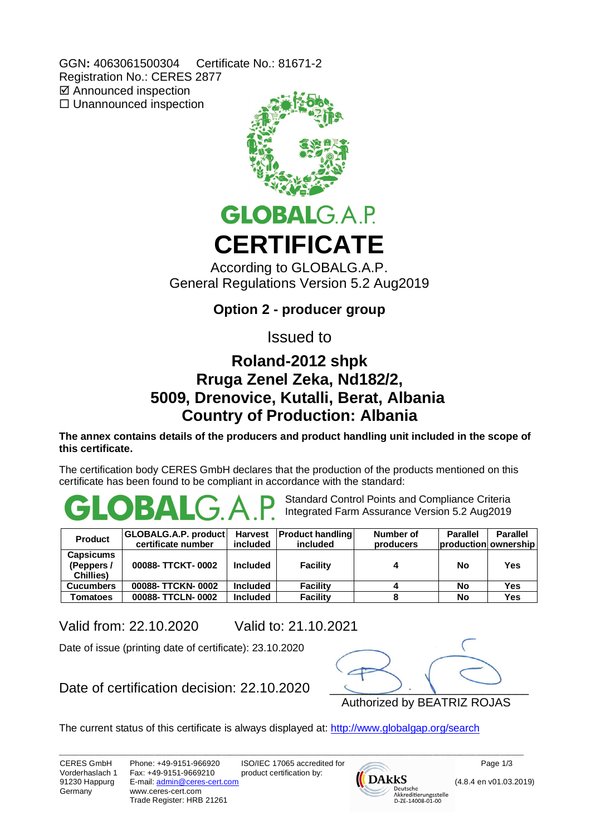GGN**:** 4063061500304 Certificate No.: 81671-2 Registration No.: CERES 2877 **Ø** Announced inspection  $\square$  Unannounced inspection



# **GLOBALGAP CERTIFICATE**

According to GLOBALG.A.P. General Regulations Version 5.2 Aug2019

**Option 2 - producer group**

Issued to

## **Roland-2012 shpk Rruga Zenel Zeka, Nd182/2, 5009, Drenovice, Kutalli, Berat, Albania Country of Production: Albania**

**The annex contains details of the producers and product handling unit included in the scope of this certificate.**

The certification body CERES GmbH declares that the production of the products mentioned on this certificate has been found to be compliant in accordance with the standard:

Standard Control Points and Compliance Criteria Integrated Farm Assurance Version 5.2 Aug2019

| <b>Product</b>                             | GLOBALG.A.P. product  <br>certificate number | <b>Harvest</b><br>included | <b>Product handling</b><br>included | Number of<br>producers | <b>Parallel</b><br>production ownership | <b>Parallel</b> |
|--------------------------------------------|----------------------------------------------|----------------------------|-------------------------------------|------------------------|-----------------------------------------|-----------------|
| <b>Capsicums</b><br>(Peppers/<br>Chillies) | 00088- TTCKT-0002                            | <b>Included</b>            | <b>Facility</b>                     |                        | No                                      | Yes             |
| <b>Cucumbers</b>                           | 00088- TTCKN-0002                            | <b>Included</b>            | <b>Facility</b>                     |                        | No                                      | Yes             |
| Tomatoes                                   | 00088-TTCLN-0002                             | <b>Included</b>            | <b>Facility</b>                     |                        | No                                      | Yes             |

Valid from: 22.10.2020 Valid to: 21.10.2021

Date of issue (printing date of certificate): 23.10.2020

Date of certification decision: 22.10.2020



The current status of this certificate is always displayed at: http://www.globalgap.org/search

\_\_\_\_\_\_\_\_\_\_\_\_\_\_\_\_\_\_\_\_\_\_\_\_\_\_\_\_\_\_\_\_\_\_\_\_\_\_\_\_\_\_\_\_\_\_\_\_\_\_\_\_\_\_\_\_\_\_\_\_\_\_\_\_\_\_\_\_\_\_\_\_\_\_\_\_\_\_\_\_\_\_\_\_\_\_\_\_\_\_\_\_\_\_\_\_\_\_\_\_\_\_\_\_\_\_\_\_\_\_\_\_\_\_\_\_\_

CERES GmbH Vorderhaslach 1 91230 Happurg Germany

Phone: +49-9151-966920 Fax: +49-9151-9669210 E-mail: admin@ceres-cert.com www.ceres-cert.com Trade Register: HRB 21261 ISO/IEC 17065 accredited for product certification by:



Page 1/3

(4.8.4 en v01.03.2019)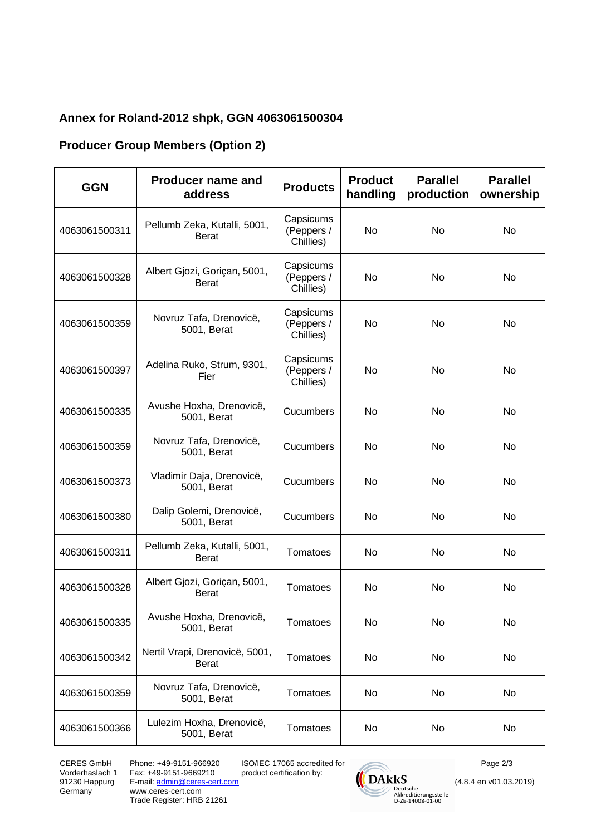#### **Annex for Roland-2012 shpk, GGN 4063061500304**

#### **Producer Group Members (Option 2)**

| <b>GGN</b>    | <b>Producer name and</b><br>address            | <b>Products</b>                      | <b>Product</b><br>handling | <b>Parallel</b><br>production | <b>Parallel</b><br>ownership |
|---------------|------------------------------------------------|--------------------------------------|----------------------------|-------------------------------|------------------------------|
| 4063061500311 | Pellumb Zeka, Kutalli, 5001,<br><b>Berat</b>   | Capsicums<br>(Peppers /<br>Chillies) | No                         | <b>No</b>                     | <b>No</b>                    |
| 4063061500328 | Albert Gjozi, Goriçan, 5001,<br><b>Berat</b>   | Capsicums<br>(Peppers /<br>Chillies) | No                         | No                            | No                           |
| 4063061500359 | Novruz Tafa, Drenovicë,<br>5001, Berat         | Capsicums<br>(Peppers /<br>Chillies) | No                         | No                            | No                           |
| 4063061500397 | Adelina Ruko, Strum, 9301,<br>Fier             | Capsicums<br>(Peppers /<br>Chillies) | No                         | No                            | No                           |
| 4063061500335 | Avushe Hoxha, Drenovicë,<br>5001, Berat        | Cucumbers                            | No                         | No                            | No                           |
| 4063061500359 | Novruz Tafa, Drenovicë,<br>5001, Berat         | Cucumbers                            | No                         | No                            | No                           |
| 4063061500373 | Vladimir Daja, Drenovicë,<br>5001, Berat       | Cucumbers                            | No                         | No                            | No                           |
| 4063061500380 | Dalip Golemi, Drenovicë,<br>5001, Berat        | Cucumbers                            | No                         | No                            | No                           |
| 4063061500311 | Pellumb Zeka, Kutalli, 5001,<br><b>Berat</b>   | Tomatoes                             | No                         | No                            | No                           |
| 4063061500328 | Albert Gjozi, Goriçan, 5001,<br><b>Berat</b>   | Tomatoes                             | No                         | No                            | <b>No</b>                    |
| 4063061500335 | Avushe Hoxha, Drenovicë,<br>5001, Berat        | Tomatoes                             | No                         | No                            | No                           |
| 4063061500342 | Nertil Vrapi, Drenovicë, 5001,<br><b>Berat</b> | Tomatoes                             | No                         | No                            | No                           |
| 4063061500359 | Novruz Tafa, Drenovicë,<br>5001, Berat         | Tomatoes                             | No                         | No                            | No                           |
| 4063061500366 | Lulezim Hoxha, Drenovicë,<br>5001, Berat       | Tomatoes                             | No                         | No                            | No                           |

\_\_\_\_\_\_\_\_\_\_\_\_\_\_\_\_\_\_\_\_\_\_\_\_\_\_\_\_\_\_\_\_\_\_\_\_\_\_\_\_\_\_\_\_\_\_\_\_\_\_\_\_\_\_\_\_\_\_\_\_\_\_\_\_\_\_\_\_\_\_\_\_\_\_\_\_\_\_\_\_\_\_\_\_\_\_\_\_\_\_\_\_\_\_\_\_\_\_\_\_\_\_\_\_\_\_\_\_\_\_\_\_\_\_\_\_\_

CERES GmbH Vorderhaslach 1 91230 Happurg Germany

Phone: +49-9151-966920 Fax: +49-9151-9669210 E-mail: admin@ceres-cert.com www.ceres-cert.com Trade Register: HRB 21261 ISO/IEC 17065 accredited for product certification by:



Page 2/3

(4.8.4 en v01.03.2019)